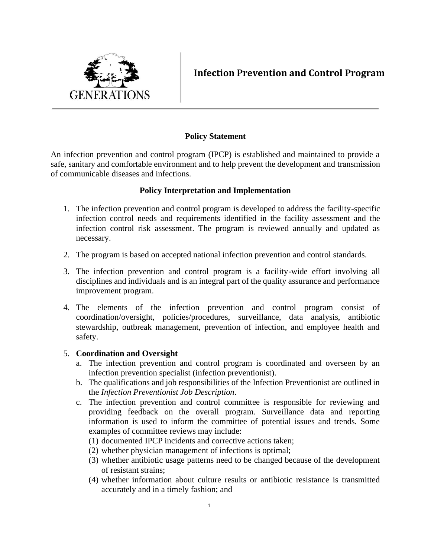

**Infection Prevention and Control Program**

# **Policy Statement**

An infection prevention and control program (IPCP) is established and maintained to provide a safe, sanitary and comfortable environment and to help prevent the development and transmission of communicable diseases and infections.

## **Policy Interpretation and Implementation**

- 1. The infection prevention and control program is developed to address the facility-specific infection control needs and requirements identified in the facility assessment and the infection control risk assessment. The program is reviewed annually and updated as necessary.
- 2. The program is based on accepted national infection prevention and control standards.
- 3. The infection prevention and control program is a facility-wide effort involving all disciplines and individuals and is an integral part of the quality assurance and performance improvement program.
- 4. The elements of the infection prevention and control program consist of coordination/oversight, policies/procedures, surveillance, data analysis, antibiotic stewardship, outbreak management, prevention of infection, and employee health and safety.

## 5. **Coordination and Oversight**

- a. The infection prevention and control program is coordinated and overseen by an infection prevention specialist (infection preventionist).
- b. The qualifications and job responsibilities of the Infection Preventionist are outlined in the *Infection Preventionist Job Description*.
- c. The infection prevention and control committee is responsible for reviewing and providing feedback on the overall program. Surveillance data and reporting information is used to inform the committee of potential issues and trends. Some examples of committee reviews may include:
	- (1) documented IPCP incidents and corrective actions taken;
	- (2) whether physician management of infections is optimal;
	- (3) whether antibiotic usage patterns need to be changed because of the development of resistant strains;
	- (4) whether information about culture results or antibiotic resistance is transmitted accurately and in a timely fashion; and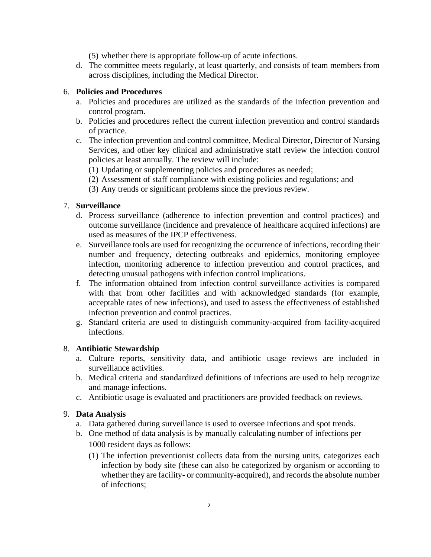(5) whether there is appropriate follow-up of acute infections.

d. The committee meets regularly, at least quarterly, and consists of team members from across disciplines, including the Medical Director.

#### 6. **Policies and Procedures**

- a. Policies and procedures are utilized as the standards of the infection prevention and control program.
- b. Policies and procedures reflect the current infection prevention and control standards of practice.
- c. The infection prevention and control committee, Medical Director, Director of Nursing Services, and other key clinical and administrative staff review the infection control policies at least annually. The review will include:
	- (1) Updating or supplementing policies and procedures as needed;
	- (2) Assessment of staff compliance with existing policies and regulations; and
	- (3) Any trends or significant problems since the previous review.

#### 7. **Surveillance**

- d. Process surveillance (adherence to infection prevention and control practices) and outcome surveillance (incidence and prevalence of healthcare acquired infections) are used as measures of the IPCP effectiveness.
- e. Surveillance tools are used for recognizing the occurrence of infections, recording their number and frequency, detecting outbreaks and epidemics, monitoring employee infection, monitoring adherence to infection prevention and control practices, and detecting unusual pathogens with infection control implications.
- f. The information obtained from infection control surveillance activities is compared with that from other facilities and with acknowledged standards (for example, acceptable rates of new infections), and used to assess the effectiveness of established infection prevention and control practices.
- g. Standard criteria are used to distinguish community-acquired from facility-acquired infections.

#### 8. **Antibiotic Stewardship**

- a. Culture reports, sensitivity data, and antibiotic usage reviews are included in surveillance activities.
- b. Medical criteria and standardized definitions of infections are used to help recognize and manage infections.
- c. Antibiotic usage is evaluated and practitioners are provided feedback on reviews.

## 9. **Data Analysis**

- a. Data gathered during surveillance is used to oversee infections and spot trends.
- b. One method of data analysis is by manually calculating number of infections per 1000 resident days as follows:
	- (1) The infection preventionist collects data from the nursing units, categorizes each infection by body site (these can also be categorized by organism or according to whether they are facility- or community-acquired), and records the absolute number of infections;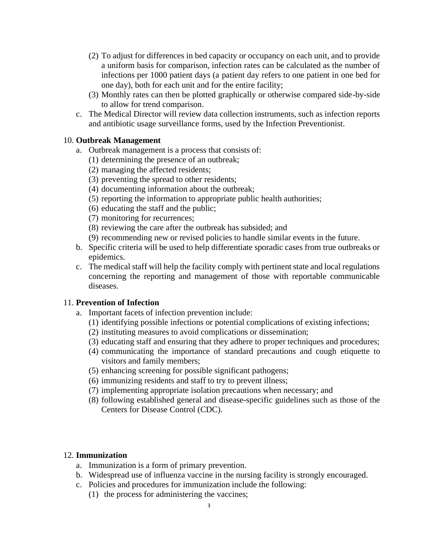- (2) To adjust for differences in bed capacity or occupancy on each unit, and to provide a uniform basis for comparison, infection rates can be calculated as the number of infections per 1000 patient days (a patient day refers to one patient in one bed for one day), both for each unit and for the entire facility;
- (3) Monthly rates can then be plotted graphically or otherwise compared side-by-side to allow for trend comparison.
- c. The Medical Director will review data collection instruments, such as infection reports and antibiotic usage surveillance forms, used by the Infection Preventionist.

### 10. **Outbreak Management**

- a. Outbreak management is a process that consists of:
	- (1) determining the presence of an outbreak;
	- (2) managing the affected residents;
	- (3) preventing the spread to other residents;
	- (4) documenting information about the outbreak;
	- (5) reporting the information to appropriate public health authorities;
	- (6) educating the staff and the public;
	- (7) monitoring for recurrences;
	- (8) reviewing the care after the outbreak has subsided; and
	- (9) recommending new or revised policies to handle similar events in the future.
- b. Specific criteria will be used to help differentiate sporadic cases from true outbreaks or epidemics.
- c. The medical staff will help the facility comply with pertinent state and local regulations concerning the reporting and management of those with reportable communicable diseases.

## 11. **Prevention of Infection**

- a. Important facets of infection prevention include:
	- (1) identifying possible infections or potential complications of existing infections;
	- (2) instituting measures to avoid complications or dissemination;
	- (3) educating staff and ensuring that they adhere to proper techniques and procedures;
	- (4) communicating the importance of standard precautions and cough etiquette to visitors and family members;
	- (5) enhancing screening for possible significant pathogens;
	- (6) immunizing residents and staff to try to prevent illness;
	- (7) implementing appropriate isolation precautions when necessary; and
	- (8) following established general and disease-specific guidelines such as those of the Centers for Disease Control (CDC).

#### 12. **Immunization**

- a. Immunization is a form of primary prevention.
- b. Widespread use of influenza vaccine in the nursing facility is strongly encouraged.
- c. Policies and procedures for immunization include the following:
	- (1) the process for administering the vaccines;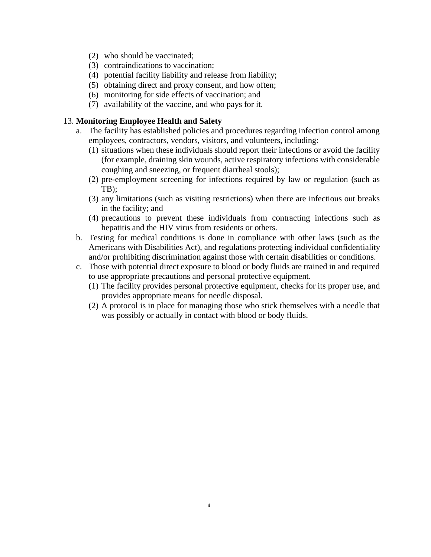- (2) who should be vaccinated;
- (3) contraindications to vaccination;
- (4) potential facility liability and release from liability;
- (5) obtaining direct and proxy consent, and how often;
- (6) monitoring for side effects of vaccination; and
- (7) availability of the vaccine, and who pays for it.

#### 13. **Monitoring Employee Health and Safety**

- a. The facility has established policies and procedures regarding infection control among employees, contractors, vendors, visitors, and volunteers, including:
	- (1) situations when these individuals should report their infections or avoid the facility (for example, draining skin wounds, active respiratory infections with considerable coughing and sneezing, or frequent diarrheal stools);
	- (2) pre-employment screening for infections required by law or regulation (such as TB);
	- (3) any limitations (such as visiting restrictions) when there are infectious out breaks in the facility; and
	- (4) precautions to prevent these individuals from contracting infections such as hepatitis and the HIV virus from residents or others.
- b. Testing for medical conditions is done in compliance with other laws (such as the Americans with Disabilities Act), and regulations protecting individual confidentiality and/or prohibiting discrimination against those with certain disabilities or conditions.
- c. Those with potential direct exposure to blood or body fluids are trained in and required to use appropriate precautions and personal protective equipment.
	- (1) The facility provides personal protective equipment, checks for its proper use, and provides appropriate means for needle disposal.
	- (2) A protocol is in place for managing those who stick themselves with a needle that was possibly or actually in contact with blood or body fluids.